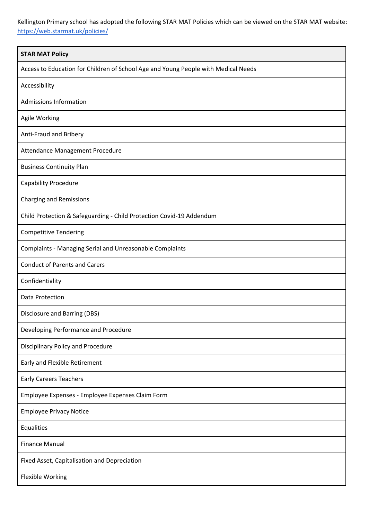Kellington Primary school has adopted the following STAR MAT Policies which can be viewed on the STAR MAT website: <https://web.starmat.uk/policies/>

| <b>STAR MAT Policy</b>                                                             |
|------------------------------------------------------------------------------------|
| Access to Education for Children of School Age and Young People with Medical Needs |
| Accessibility                                                                      |
| <b>Admissions Information</b>                                                      |
| Agile Working                                                                      |
| Anti-Fraud and Bribery                                                             |
| Attendance Management Procedure                                                    |
| <b>Business Continuity Plan</b>                                                    |
| <b>Capability Procedure</b>                                                        |
| <b>Charging and Remissions</b>                                                     |
| Child Protection & Safeguarding - Child Protection Covid-19 Addendum               |
| <b>Competitive Tendering</b>                                                       |
| Complaints - Managing Serial and Unreasonable Complaints                           |
| <b>Conduct of Parents and Carers</b>                                               |
| Confidentiality                                                                    |
| Data Protection                                                                    |
| Disclosure and Barring (DBS)                                                       |
| Developing Performance and Procedure                                               |
| <b>Disciplinary Policy and Procedure</b>                                           |
| Early and Flexible Retirement                                                      |
| <b>Early Careers Teachers</b>                                                      |
| Employee Expenses - Employee Expenses Claim Form                                   |
| <b>Employee Privacy Notice</b>                                                     |
| Equalities                                                                         |
| <b>Finance Manual</b>                                                              |
| Fixed Asset, Capitalisation and Depreciation                                       |
| Flexible Working                                                                   |